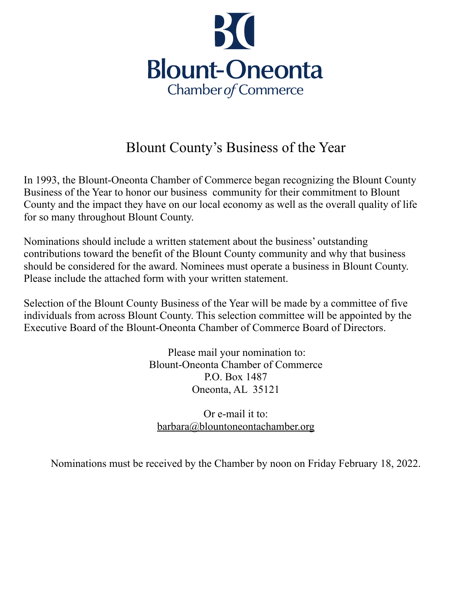

## Blount County's Business of the Year

In 1993, the Blount-Oneonta Chamber of Commerce began recognizing the Blount County Business of the Year to honor our business community for their commitment to Blount County and the impact they have on our local economy as well as the overall quality of life for so many throughout Blount County.

Nominations should include a written statement about the business' outstanding contributions toward the benefit of the Blount County community and why that business should be considered for the award. Nominees must operate a business in Blount County. Please include the attached form with your written statement.

Selection of the Blount County Business of the Year will be made by a committee of five individuals from across Blount County. This selection committee will be appointed by the Executive Board of the Blount-Oneonta Chamber of Commerce Board of Directors.

> Please mail your nomination to: Blount-Oneonta Chamber of Commerce P.O. Box 1487 Oneonta, AL 35121

Or e-mail it to: [barbara@blountoneontachamber.org](mailto:barbara@blountoneontachamber.org)

Nominations must be received by the Chamber by noon on Friday February 18, 2022.